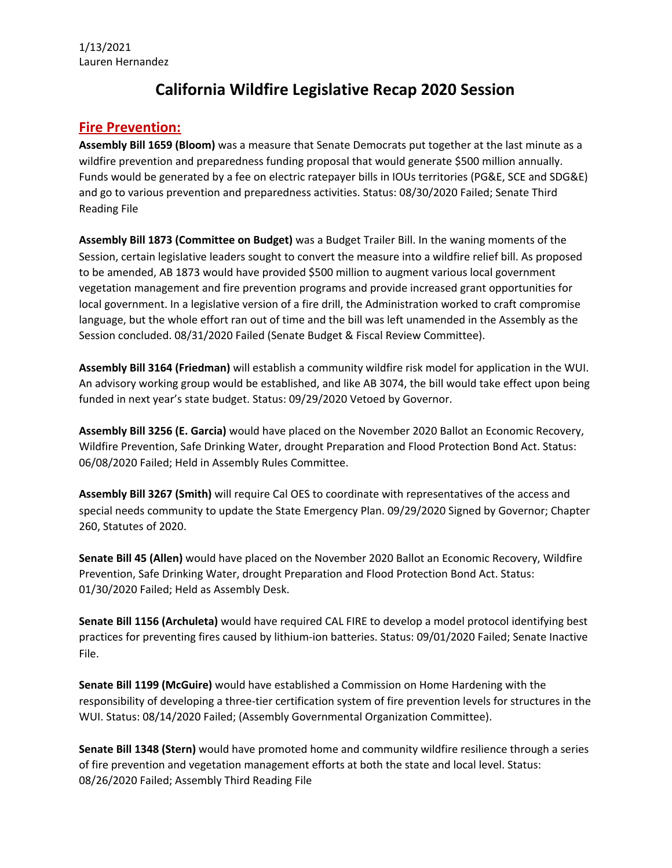## **California Wildfire Legislative Recap 2020 Session**

## **Fire Prevention:**

**Assembly Bill 1659 (Bloom)** was a measure that Senate Democrats put together at the last minute as a wildfire prevention and preparedness funding proposal that would generate \$500 million annually. Funds would be generated by a fee on electric ratepayer bills in IOUs territories (PG&E, SCE and SDG&E) and go to various prevention and preparedness activities. Status: 08/30/2020 Failed; Senate Third Reading File

**Assembly Bill 1873 (Committee on Budget)** was a Budget Trailer Bill. In the waning moments of the Session, certain legislative leaders sought to convert the measure into a wildfire relief bill. As proposed to be amended, AB 1873 would have provided \$500 million to augment various local government vegetation management and fire prevention programs and provide increased grant opportunities for local government. In a legislative version of a fire drill, the Administration worked to craft compromise language, but the whole effort ran out of time and the bill was left unamended in the Assembly as the Session concluded. 08/31/2020 Failed (Senate Budget & Fiscal Review Committee).

**Assembly Bill 3164 (Friedman)** will establish a community wildfire risk model for application in the WUI. An advisory working group would be established, and like AB 3074, the bill would take effect upon being funded in next year's state budget. Status: 09/29/2020 Vetoed by Governor.

**Assembly Bill 3256 (E. Garcia)** would have placed on the November 2020 Ballot an Economic Recovery, Wildfire Prevention, Safe Drinking Water, drought Preparation and Flood Protection Bond Act. Status: 06/08/2020 Failed; Held in Assembly Rules Committee.

**Assembly Bill 3267 (Smith)** will require Cal OES to coordinate with representatives of the access and special needs community to update the State Emergency Plan. 09/29/2020 Signed by Governor; Chapter 260, Statutes of 2020.

**Senate Bill 45 (Allen)** would have placed on the November 2020 Ballot an Economic Recovery, Wildfire Prevention, Safe Drinking Water, drought Preparation and Flood Protection Bond Act. Status: 01/30/2020 Failed; Held as Assembly Desk.

**Senate Bill 1156 (Archuleta)** would have required CAL FIRE to develop a model protocol identifying best practices for preventing fires caused by lithium-ion batteries. Status: 09/01/2020 Failed; Senate Inactive File.

**Senate Bill 1199 (McGuire)** would have established a Commission on Home Hardening with the responsibility of developing a three-tier certification system of fire prevention levels for structures in the WUI. Status: 08/14/2020 Failed; (Assembly Governmental Organization Committee).

**Senate Bill 1348 (Stern)** would have promoted home and community wildfire resilience through a series of fire prevention and vegetation management efforts at both the state and local level. Status: 08/26/2020 Failed; Assembly Third Reading File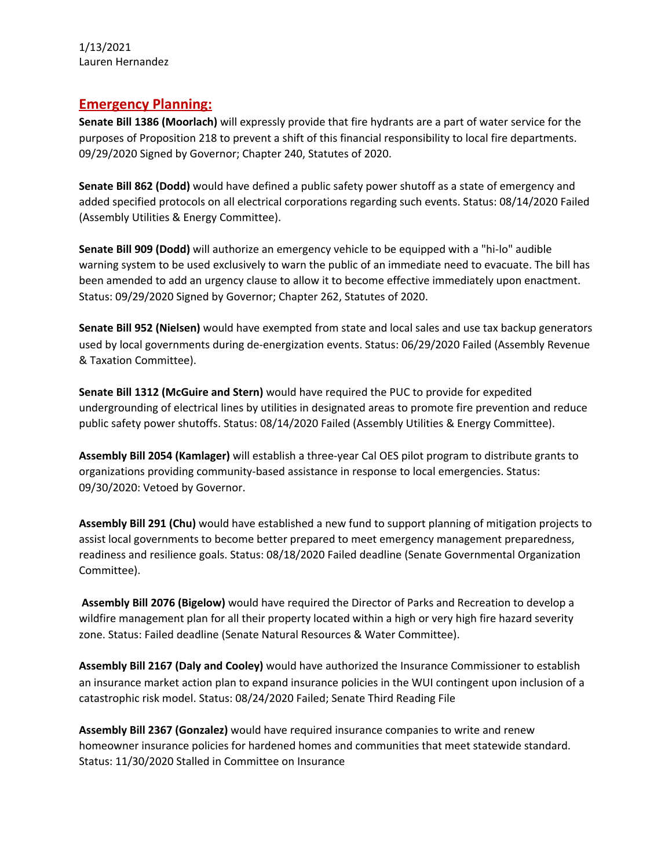1/13/2021 Lauren Hernandez

## **Emergency Planning:**

**Senate Bill 1386 (Moorlach)** will expressly provide that fire hydrants are a part of water service for the purposes of Proposition 218 to prevent a shift of this financial responsibility to local fire departments. 09/29/2020 Signed by Governor; Chapter 240, Statutes of 2020.

**Senate Bill 862 (Dodd)** would have defined a public safety power shutoff as a state of emergency and added specified protocols on all electrical corporations regarding such events. Status: 08/14/2020 Failed (Assembly Utilities & Energy Committee).

**Senate Bill 909 (Dodd)** will authorize an emergency vehicle to be equipped with a "hi-lo" audible warning system to be used exclusively to warn the public of an immediate need to evacuate. The bill has been amended to add an urgency clause to allow it to become effective immediately upon enactment. Status: 09/29/2020 Signed by Governor; Chapter 262, Statutes of 2020.

**Senate Bill 952 (Nielsen)** would have exempted from state and local sales and use tax backup generators used by local governments during de-energization events. Status: 06/29/2020 Failed (Assembly Revenue & Taxation Committee).

**Senate Bill 1312 (McGuire and Stern)** would have required the PUC to provide for expedited undergrounding of electrical lines by utilities in designated areas to promote fire prevention and reduce public safety power shutoffs. Status: 08/14/2020 Failed (Assembly Utilities & Energy Committee).

**Assembly Bill 2054 (Kamlager)** will establish a three-year Cal OES pilot program to distribute grants to organizations providing community-based assistance in response to local emergencies. Status: 09/30/2020: Vetoed by Governor.

**Assembly Bill 291 (Chu)** would have established a new fund to support planning of mitigation projects to assist local governments to become better prepared to meet emergency management preparedness, readiness and resilience goals. Status: 08/18/2020 Failed deadline (Senate Governmental Organization Committee).

**Assembly Bill 2076 (Bigelow)** would have required the Director of Parks and Recreation to develop a wildfire management plan for all their property located within a high or very high fire hazard severity zone. Status: Failed deadline (Senate Natural Resources & Water Committee).

**Assembly Bill 2167 (Daly and Cooley)** would have authorized the Insurance Commissioner to establish an insurance market action plan to expand insurance policies in the WUI contingent upon inclusion of a catastrophic risk model. Status: 08/24/2020 Failed; Senate Third Reading File

**Assembly Bill 2367 (Gonzalez)** would have required insurance companies to write and renew homeowner insurance policies for hardened homes and communities that meet statewide standard. Status: 11/30/2020 Stalled in Committee on Insurance